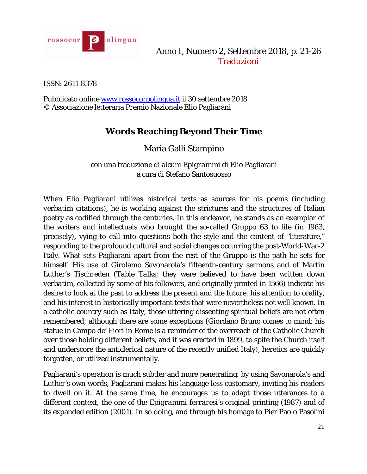

Anno I, Numero 2, Settembre 2018, p. 21-26 Traduzioni

ISSN: 2611-8378

Pubblicato online [www.rossocorpolingua.it](http://www.rossocorpolingua.it/) il 30 settembre 2018 © Associazione letteraria Premio Nazionale Elio Pagliarani

# **Words Reaching Beyond Their Time**

Maria Galli Stampino

con una traduzione di alcuni *Epigrammi* di Elio Pagliarani a cura di Stefano Santosuosso

When Elio Pagliarani utilizes historical texts as sources for his poems (including *verbatim* citations), he is working against the strictures and the structures of Italian poetry as codified through the centuries. In this endeavor, he stands as an exemplar of the writers and intellectuals who brought the so-called Gruppo 63 to life (in 1963, precisely), vying to call into questions both the style and the content of "literature," responding to the profound cultural and social changes occurring the post-World-War-2 Italy. What sets Pagliarani apart from the rest of the Gruppo is the path he sets for himself. His use of Girolamo Savonarola's fifteenth-century sermons and of Martin Luther's *Tischreden* (*Table Talks*; they were believed to have been written down *verbatim*, collected by some of his followers, and originally printed in 1566) indicate his desire to look at the past to address the present and the future, his attention to orality, and his interest in historically important texts that were nevertheless not well known. In a catholic country such as Italy, those uttering dissenting spiritual beliefs are not often remembered; although there are some exceptions (Giordano Bruno comes to mind; his statue in Campo de' Fiori in Rome is a reminder of the overreach of the Catholic Church over those holding different beliefs, and it was erected in 1899, to spite the Church itself and underscore the anticlerical nature of the recently unified Italy), heretics are quickly forgotten, or utilized instrumentally.

Pagliarani's operation is much subtler and more penetrating: by using Savonarola's and Luther's own words, Pagliarani makes his language less customary, inviting his readers to dwell on it. At the same time, he encourages us to adapt those utterances to a different context, the one of the *Epigrammi ferraresi*'s original printing (1987) and of its expanded edition (2001). In so doing, and through his homage to Pier Paolo Pasolini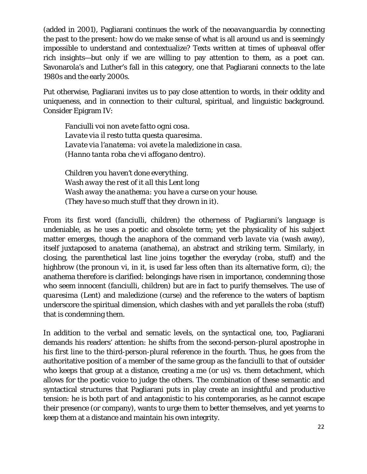(added in 2001), Pagliarani continues the work of the *neoavanguardia* by connecting the past to the present: how do we make sense of what is all around us and is seemingly impossible to understand and contextualize? Texts written at times of upheaval offer rich insights—but only if we are willing to pay attention to them, as a poet can. Savonarola's and Luther's fall in this category, one that Pagliarani connects to the late 1980s and the early 2000s.

Put otherwise, Pagliarani invites us to pay close attention to words, in their oddity and uniqueness, and in connection to their cultural, spiritual, and linguistic background. Consider Epigram IV:

*Fanciulli voi non avete fatto ogni cosa. Lavate via il resto tutta questa quaresima. Lavate via l'anatema: voi avete la maledizione in casa. (Hanno tanta roba che vi affogano dentro).*

*Children you haven't done everything. Wash away the rest of it all this Lent long Wash away the anathema: you have a curse on your house. (They have so much stuff that they drown in it).*

From its first word (*fanciulli*, children) the otherness of Pagliarani's language is undeniable, as he uses a poetic and obsolete term; yet the physicality of his subject matter emerges, though the anaphora of the command verb *lavate via* (wash away), itself juxtaposed to *anatema* (anathema), an abstract and striking term. Similarly, in closing, the parenthetical last line joins together the everyday (*roba*, stuff) and the highbrow (the pronoun *vi*, in it, is used far less often than its alternative form, *ci*); the anathema therefore is clarified: belongings have risen in importance, condemning those who seem innocent (*fanciulli*, children) but are in fact to purify themselves. The use of *quaresima* (Lent) and *maledizione* (curse) and the reference to the waters of baptism underscore the spiritual dimension, which clashes with and yet parallels the *roba* (stuff) that is condemning them.

In addition to the verbal and sematic levels, on the syntactical one, too, Pagliarani demands his readers' attention: he shifts from the second-person-plural apostrophe in his first line to the third-person-plural reference in the fourth. Thus, he goes from the authoritative position of a member of the same group as the *fanciulli* to that of outsider who keeps that group at a distance, creating a me (or us) vs. them detachment, which allows for the poetic voice to judge the others. The combination of these semantic and syntactical structures that Pagliarani puts in play create an insightful and productive tension: he is both part of and antagonistic to his contemporaries, as he cannot escape their presence (or company), wants to urge them to better themselves, and yet yearns to keep them at a distance and maintain his own integrity.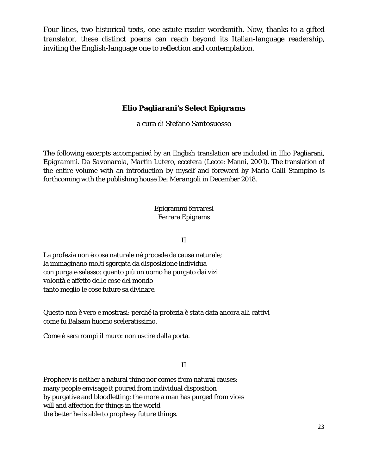Four lines, two historical texts, one astute reader wordsmith. Now, thanks to a gifted translator, these distinct poems can reach beyond its Italian-language readership, inviting the English-language one to reflection and contemplation.

# **Elio Pagliarani's Select** *Epigrams*

a cura di Stefano Santosuosso

The following excerpts accompanied by an English translation are included in Elio Pagliarani, *Epigrammi*. *Da Savonarola, Martin Lutero, eccetera* (Lecce: Manni, 2001). The translation of the entire volume with an introduction by myself and foreword by Maria Galli Stampino is forthcoming with the publishing house *Dei Merangoli* in December 2018.

> Epigrammi ferraresi Ferrara Epigrams

> > II

La profezia non è cosa naturale né procede da causa naturale; la immaginano molti sgorgata da disposizione individua con purga e salasso: quanto più un uomo ha purgato dai vizi volontà e affetto delle cose del mondo tanto meglio le cose future sa divinare.

Questo non è vero e mostrasi: perché la profezia è stata data ancora alli cattivi come fu Balaam huomo sceleratissimo.

Come è sera rompi il muro: non uscire dalla porta.

## II

Prophecy is neither a natural thing nor comes from natural causes; many people envisage it poured from individual disposition by purgative and bloodletting: the more a man has purged from vices will and affection for things in the world the better he is able to prophesy future things.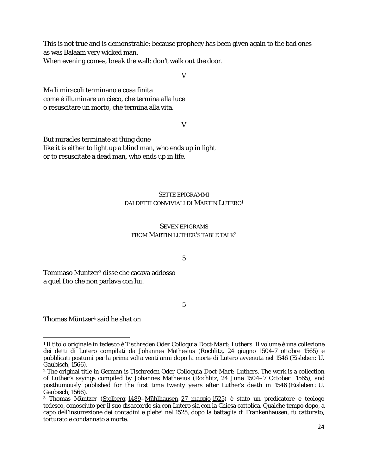This is not true and is demonstrable: because prophecy has been given again to the bad ones as was Balaam very wicked man.

When evening comes, break the wall: don't walk out the door.

V

Ma li miracoli terminano a cosa finita come è illuminare un cieco, che termina alla luce o resuscitare un morto, che termina alla vita.

V

But miracles terminate at thing done like it is either to light up a blind man, who ends up in light or to resuscitate a dead man, who ends up in life.

#### SETTE EPIGRAMMI DAI *DETTI CONVIVIALI* DI MARTIN LUTERO1

#### SEVEN EPIGRAMS FROM MARTIN LUTHER'S *TABLE TALK*<sup>2</sup>

5

Tommaso Muntzer3 disse che cacava addosso a quel Dio che non parlava con lui.

5

Thomas Müntzer4 said he shat on

l

<sup>1</sup> Il titolo originale in tedesco è *Tischreden Oder Colloquia Doct-Mart: Luthers*. Il volume è una collezione dei detti di Lutero compilati da Johannes Mathesius (Rochlitz, 24 giugno 1504-7 ottobre 1565) e pubblicati postumi per la prima volta venti anni dopo la morte di Lutero avvenuta nel 1546 (Eisleben: U. Gaubisch, 1566).

<sup>2</sup> The original title in German is *Tischreden Oder Colloquia Doct-Mart: Luthers*. The work is a collection of Luther's sayings compiled by Johannes Mathesius (Rochlitz, 24 June 1504–7 October 1565), and posthumously published for the first time twenty years after Luther's death in 1546 (Eisleben : U. Gaubisch, 1566).

<sup>&</sup>lt;sup>3</sup> Thomas Müntzer [\(Stolberg,](https://it.wikipedia.org/wiki/Stolberg_(Harz)) [1489](https://it.wikipedia.org/wiki/1489)[–Mühlhausen,](https://it.wikipedia.org/wiki/M%C3%BChlhausen/Th%C3%BCringen) [27 maggio](https://it.wikipedia.org/wiki/27_maggio) [1525\)](https://it.wikipedia.org/wiki/1525) è stato un predicatore e teologo tedesco, conosciuto per il suo disaccordo sia con Lutero sia con la Chiesa cattolica. Qualche tempo dopo, a capo dell'insurrezione dei contadini e plebei nel 1525, dopo la battaglia di Frankenhausen, fu catturato, torturato e condannato a morte.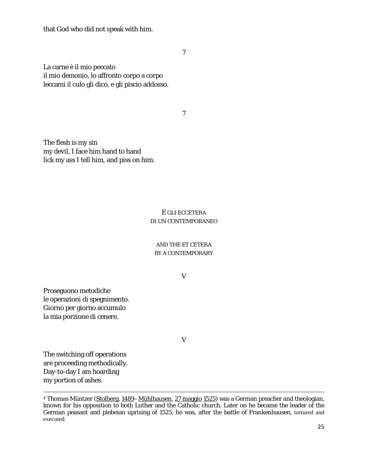that God who did not speak with him.

7

La carne è il mio peccato il mio demonio, lo affronto corpo a corpo leccami il culo gli dico, e gli piscio addosso.

7

The flesh is my sin my devil, I face him hand to hand lick my ass I tell him, and piss on him.

### E GLI ECCETERA DI UN CONTEMPORANEO

#### AND THE ET CETERA BY A CONTEMPORARY

V

Proseguono metodiche le operazioni di spegnimento. Giorno per giorno accumulo la mia porzione di cenere.

V

The switching off operations are proceeding methodically. Day-to-day I am hoarding my portion of ashes.

l

<sup>&</sup>lt;sup>4</sup> Thomas Müntzer [\(Stolberg,](https://it.wikipedia.org/wiki/Stolberg_(Harz)) [1489](https://it.wikipedia.org/wiki/1489)[–Mühlhausen,](https://it.wikipedia.org/wiki/M%C3%BChlhausen/Th%C3%BCringen) [27 maggio](https://it.wikipedia.org/wiki/27_maggio) [1525\)](https://it.wikipedia.org/wiki/1525) was a German preacher and theologian, known for his opposition to both Luther and the Catholic church. Later on he became the leader of the German peasant and plebeian uprising of 1525, he was, after the battle of Frankenhausen, tortured and executed.